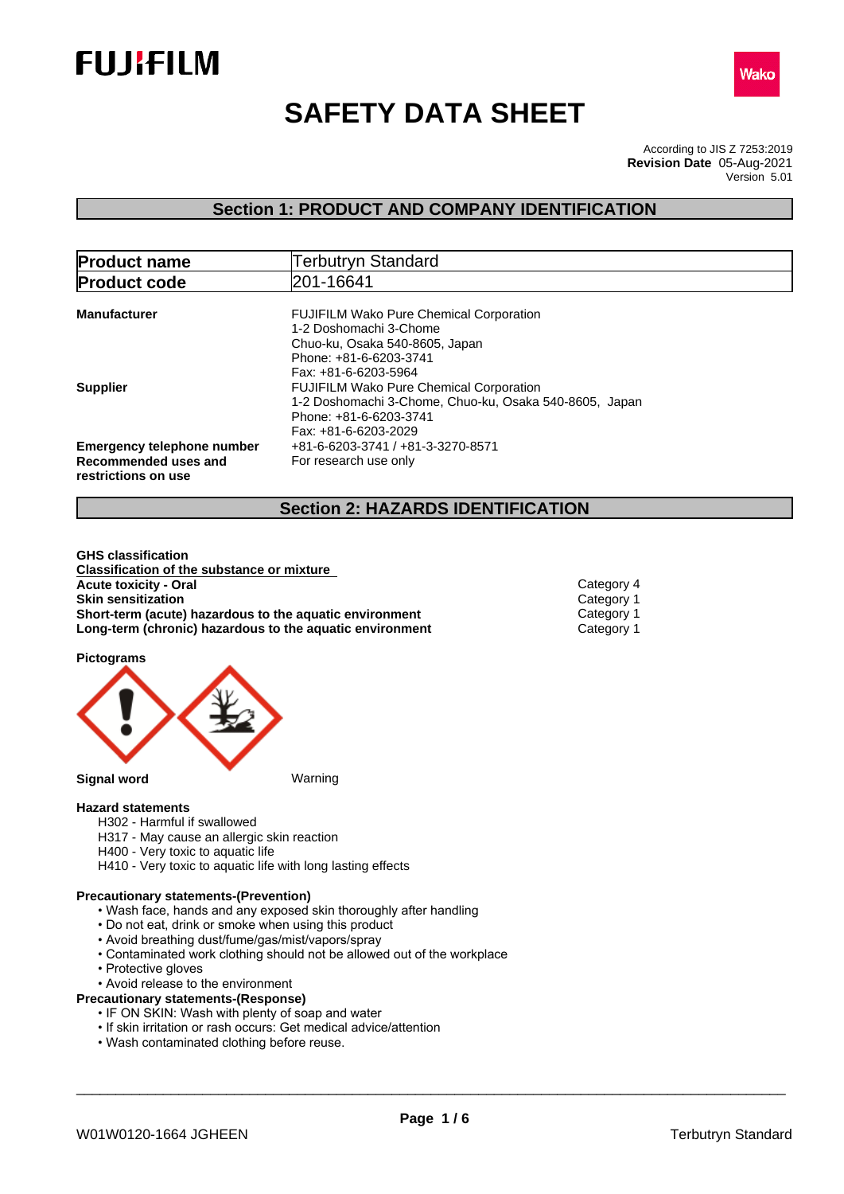



# **SAFETY DATA SHEET**

According to JIS Z 7253:2019 Version 5.01 **Revision Date** 05-Aug-2021

# **Section 1: PRODUCT AND COMPANY IDENTIFICATION**

| <b>Product name</b>                                                              | <b>Terbutryn Standard</b>                                                                                                                                    |
|----------------------------------------------------------------------------------|--------------------------------------------------------------------------------------------------------------------------------------------------------------|
| <b>Product code</b>                                                              | 201-16641                                                                                                                                                    |
| <b>Manufacturer</b>                                                              | <b>FUJIFILM Wako Pure Chemical Corporation</b><br>1-2 Doshomachi 3-Chome<br>Chuo-ku, Osaka 540-8605, Japan<br>Phone: +81-6-6203-3741<br>Fax: +81-6-6203-5964 |
| <b>Supplier</b>                                                                  | <b>FUJIFILM Wako Pure Chemical Corporation</b><br>1-2 Doshomachi 3-Chome, Chuo-ku, Osaka 540-8605, Japan<br>Phone: +81-6-6203-3741<br>Fax: +81-6-6203-2029   |
| <b>Emergency telephone number</b><br>Recommended uses and<br>restrictions on use | +81-6-6203-3741 / +81-3-3270-8571<br>For research use only                                                                                                   |

# **Section 2: HAZARDS IDENTIFICATION**

**GHS classification Classification of the substance or mixture Acute toxicity - Oral** Category 4 **Skin sensitization**<br> **Short-term (acute) hazardous to the aquatic environment** Category 1 **Short-term (acute) hazardous to the aquatic environment** Category 1<br> **Long-term (chronic) hazardous to the aquatic environment** Category 1 **Long-term (chronic) hazardous to the aquatic environment** 

**Pictograms**



#### **Hazard statements**

- H302 Harmful if swallowed
- H317 May cause an allergic skin reaction
- H400 Very toxic to aquatic life
- H410 Very toxic to aquatic life with long lasting effects

#### **Precautionary statements-(Prevention)**

- Wash face, hands and any exposed skin thoroughly after handling
- Do not eat, drink or smoke when using this product
- Avoid breathing dust/fume/gas/mist/vapors/spray
- Contaminated work clothing should not be allowed out of the workplace
- Protective gloves
- Avoid release to the environment

#### **Precautionary statements-(Response)**

- IF ON SKIN: Wash with plenty of soap and water
- If skin irritation or rash occurs: Get medical advice/attention
- Wash contaminated clothing before reuse.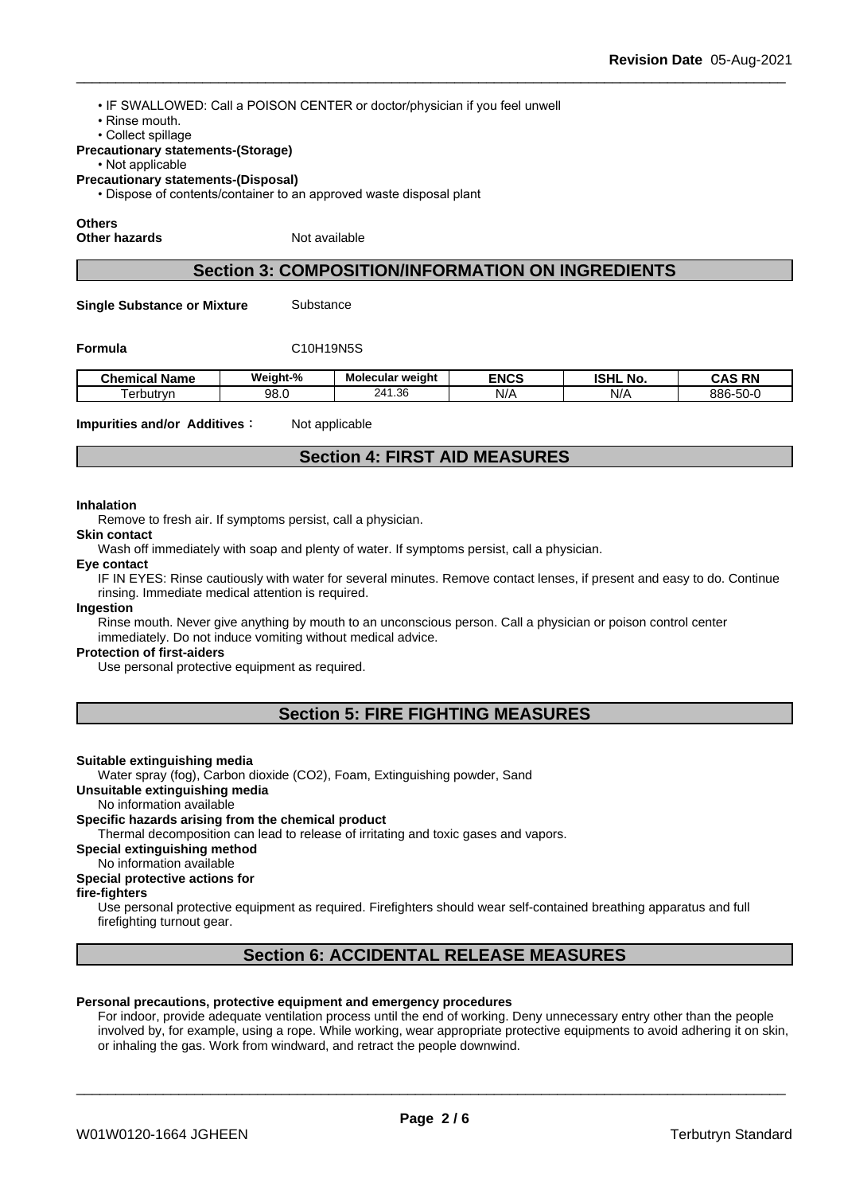• IF SWALLOWED: Call a POISON CENTER or doctor/physician if you feel unwell

- Rinse mouth.
- Collect spillage

#### **Precautionary statements-(Storage)**

#### • Not applicable

**Precautionary statements-(Disposal)**

• Dispose of contents/container to an approved waste disposal plant

#### **Others**

**Other hazards** Not available

## **Section 3: COMPOSITION/INFORMATION ON INGREDIENTS**

**Single Substance or Mixture** Substance

#### **Formula** C10H19N5S

| Chemical<br>Name | Weight-% | Molecular weight               | <b>ENCS</b> | <b>ISHL</b><br>. .<br><b>No</b> | <b>RN</b><br>$\ddot{\phantom{1}}$ |
|------------------|----------|--------------------------------|-------------|---------------------------------|-----------------------------------|
| erbutrvn         | 98.0     | 24 <sup>4</sup><br>$\sim$<br>. | NI/A        | N/f                             | $-\sim$<br>886-<br>∵∙∪ں.          |

**Impurities and/or Additives:** Not applicable

# **Section 4: FIRST AID MEASURES**

#### **Inhalation**

Remove to fresh air. If symptoms persist, call a physician.

**Skin contact**

Wash off immediately with soap and plenty of water. If symptoms persist, call a physician.

#### **Eye contact**

IF IN EYES: Rinse cautiously with water for several minutes. Remove contact lenses, if present and easy to do. Continue rinsing. Immediate medical attention is required.

#### **Ingestion**

Rinse mouth. Never give anything by mouth to an unconscious person. Call a physician or poison control center immediately. Do not induce vomiting without medical advice.

#### **Protection of first-aiders**

Use personal protective equipment as required.

# **Section 5: FIRE FIGHTING MEASURES**

#### **Suitable extinguishing media**

Water spray (fog), Carbon dioxide (CO2), Foam, Extinguishing powder, Sand

**Unsuitable extinguishing media**

No information available

#### **Specific hazards arising from the chemical product**

Thermal decomposition can lead to release of irritating and toxic gases and vapors.

**Special extinguishing method**

#### No information available

#### **Special protective actions for**

#### **fire-fighters**

Use personal protective equipment as required.Firefighters should wear self-contained breathing apparatus and full firefighting turnout gear.

# **Section 6: ACCIDENTAL RELEASE MEASURES**

#### **Personal precautions, protective equipment and emergency procedures**

For indoor, provide adequate ventilation process until the end of working. Deny unnecessary entry other than the people involved by, for example, using a rope. While working, wear appropriate protective equipments to avoid adhering it on skin, or inhaling the gas. Work from windward, and retract the people downwind.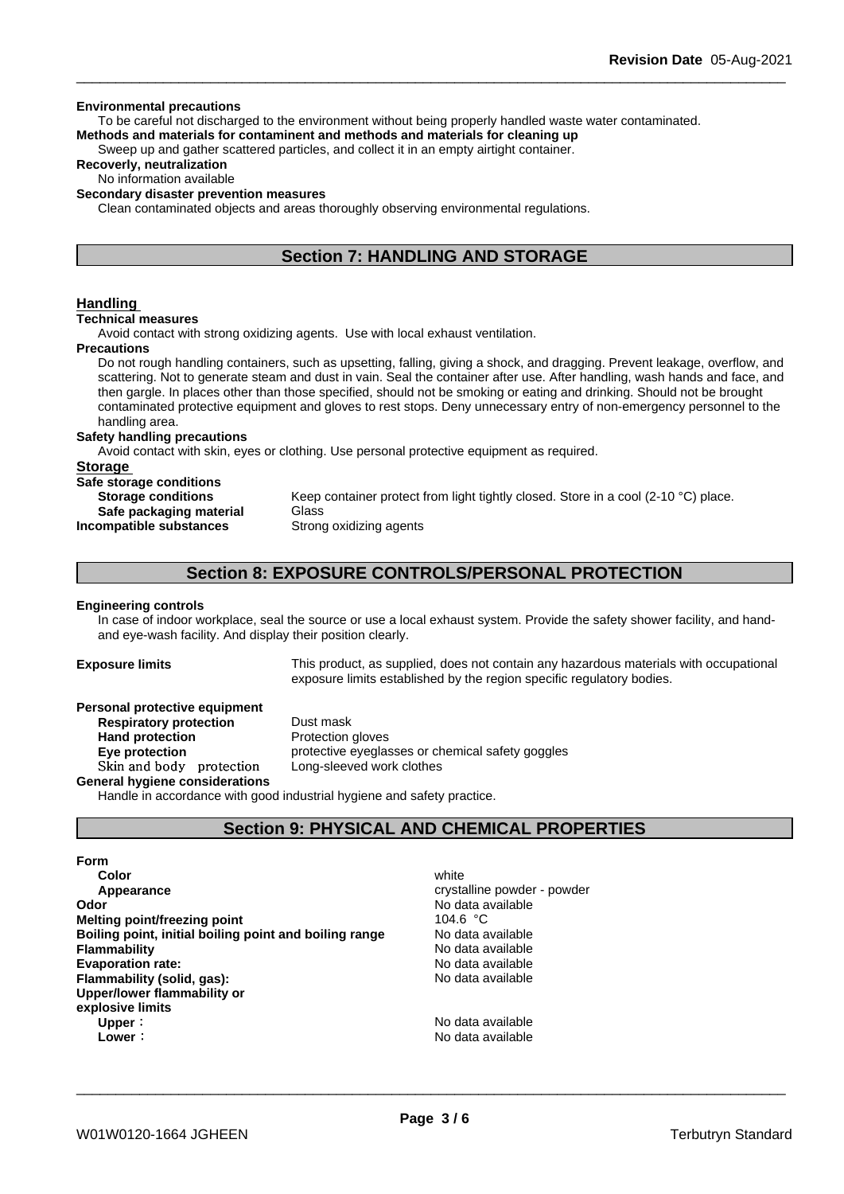#### **Environmental precautions**

To be careful not discharged to the environment without being properly handled waste water contaminated. **Methods and materials for contaminent and methods and materials for cleaning up**

Sweep up and gather scattered particles, and collect it in an empty airtight container.

#### **Recoverly, neutralization**

No information available

#### **Secondary disaster prevention measures**

Clean contaminated objects and areas thoroughly observing environmental regulations.

# **Section 7: HANDLING AND STORAGE**

#### **Handling**

#### **Technical measures**

Avoid contact with strong oxidizing agents. Use with local exhaust ventilation.

#### **Precautions**

Do not rough handling containers, such as upsetting, falling, giving a shock, and dragging. Prevent leakage, overflow, and scattering. Not to generate steam and dust in vain. Seal the container after use. After handling, wash hands and face, and then gargle. In places other than those specified, should not be smoking or eating and drinking. Should not be brought contaminated protective equipment and gloves to rest stops. Deny unnecessary entry of non-emergency personnel to the handling area.

#### **Safety handling precautions**

Avoid contact with skin, eyes or clothing. Use personal protective equipment as required.

### **Storage**

| Safe storage conditions                              |                                                                                             |
|------------------------------------------------------|---------------------------------------------------------------------------------------------|
| <b>Storage conditions</b><br>Safe packaging material | Keep container protect from light tightly closed. Store in a cool (2-10 °C) place.<br>Glass |
| Incompatible substances                              | Strong oxidizing agents                                                                     |

# **Section 8: EXPOSURE CONTROLS/PERSONAL PROTECTION**

#### **Engineering controls**

In case of indoor workplace, seal the source or use a local exhaust system. Provide the safety shower facility, and handand eye-wash facility. And display their position clearly.

**Exposure limits** This product, as supplied, does not contain any hazardous materials with occupational exposure limits established by the region specific regulatory bodies.

| Personal protective equipment  |                                                                        |
|--------------------------------|------------------------------------------------------------------------|
| <b>Respiratory protection</b>  | Dust mask                                                              |
| <b>Hand protection</b>         | Protection gloves                                                      |
| Eye protection                 | protective eyeglasses or chemical safety goggles                       |
| Skin and body protection       | Long-sleeved work clothes                                              |
| General hygiene considerations |                                                                        |
|                                | Handle in accordance with good industrial hygiene and safety practice. |

**Section 9: PHYSICAL AND CHEMICAL PROPERTIES**

# **Form**

**Color** white **Color** white **Color** white **Color** white **Color** white **Color Color Color Color Color Color Color Color Color Color Color Color Color Color Color Color Color Color Color Appearance** crystalline powder - powder **Odor** No data available **Melting point/freezing point** 104.6 °C **Boiling point, initial boiling point and boiling range** No data available **Flammability** No data available **Evaporation rate:** No data available **Flammability (solid, gas):** No data available **Upper/lower flammability or explosive limits Upper**: No data available **Lower:** No data available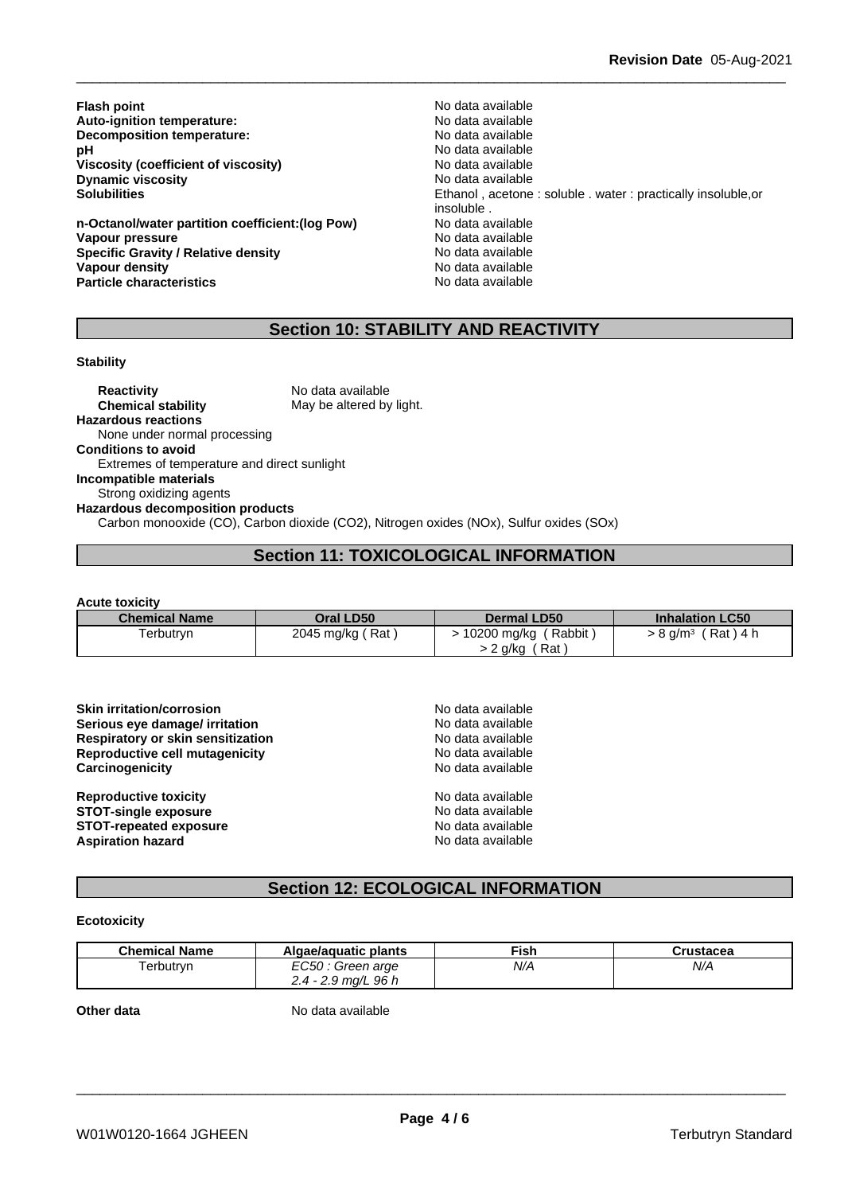**Flash point**<br> **Auto-ignition temperature:**<br> **Auto-ignition temperature:**<br> **Auto-ignition temperature: Auto-ignition temperature:**<br> **Decomposition temperature:** No data available **Decomposition temperature: pH** No data available<br>Viscosity (coefficient of viscosity) No data available **Viscosity (coefficient of viscosity)** No data available<br> **Dynamic viscosity Dynamic viscosity Dynamic viscosity**<br>Solubilities

**n-Octanol/water partition coefficient:(log Pow) No data available Vapour pressure** No data available **Specific Gravity / Relative density** No data available **Vapour density No data available No data available No data available Particle characteristics** No data available

Ethanol, acetone : soluble . water : practically insoluble,or insoluble .

# **Section 10: STABILITY AND REACTIVITY**

#### **Stability**

**Reactivity** No data available **Chemical stability** May be altered by light. **Hazardous reactions** None under normal processing **Conditions to avoid** Extremes of temperature and direct sunlight **Incompatible materials** Strong oxidizing agents **Hazardous decomposition products** Carbon monooxide (CO), Carbon dioxide (CO2), Nitrogen oxides (NOx), Sulfur oxides (SOx)

# **Section 11: TOXICOLOGICAL INFORMATION**

**Acute toxicity**

| <b>Chemical Name</b> | Oral LD50        | <b>Dermal LD50</b>    | <b>Inhalation LC50</b>               |
|----------------------|------------------|-----------------------|--------------------------------------|
| Ferbutryn            | 2045 mg/kg (Rat) | Rabbit<br>10200 mg/kg | ์ Rat ) 4 h<br>$>8$ g/m <sup>3</sup> |
|                      |                  | Rat<br>∙ 2 g/kg       |                                      |

| No data available |
|-------------------|
| No data available |
| No data available |
| No data available |
| No data available |
| No data available |
| No data available |
| No data available |
| No data available |
|                   |

# **Section 12: ECOLOGICAL INFORMATION**

#### **Ecotoxicity**

| <b>Chemical Name</b> | Algae/aguatic plants                   | ™ish | $"$ ructocog<br>islacea |
|----------------------|----------------------------------------|------|-------------------------|
| l erbutryn           | EC50<br>Green arge                     | N/A  | N/A                     |
|                      | ma/L 96 h<br>4 -<br>2.J<br><u>. . </u> |      |                         |

**Other data** No data available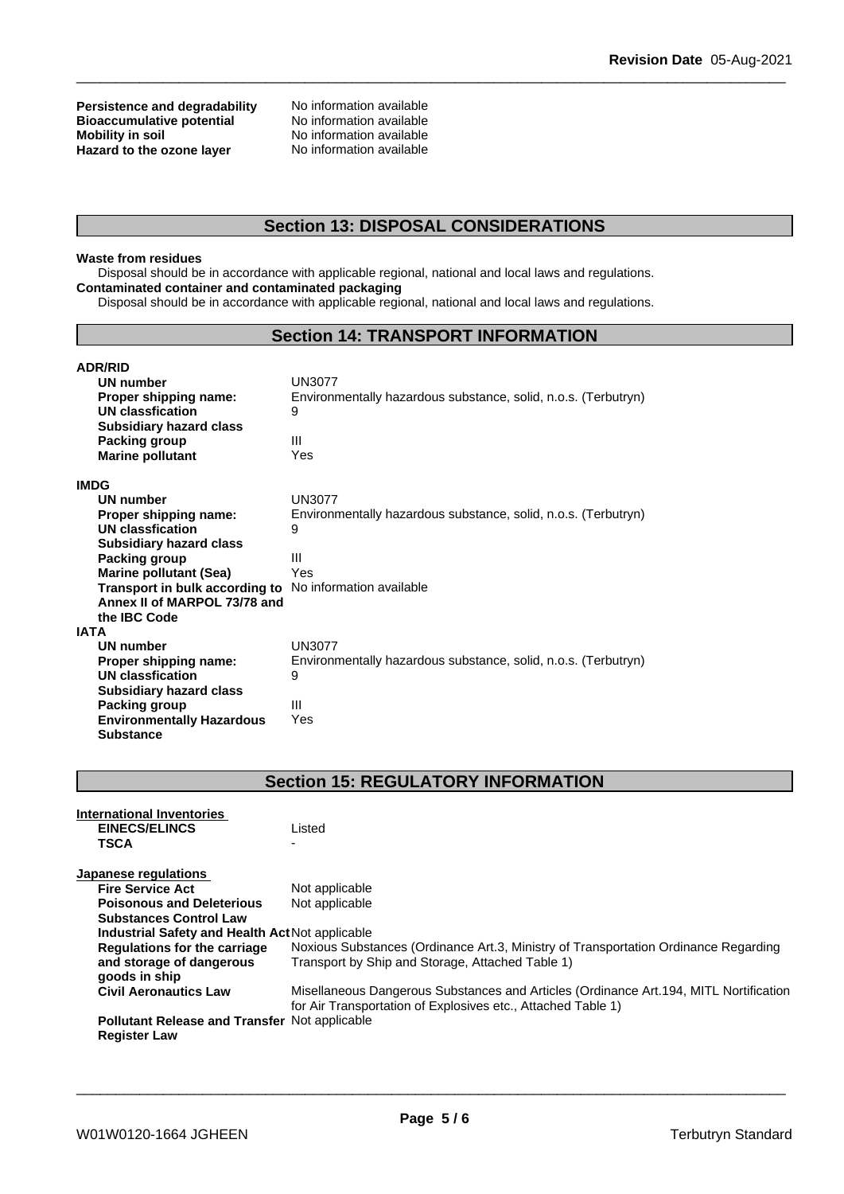# **Persistence and degradability** No information available<br>**Bioaccumulative potential** No information available **Bioaccumulative potential<br>Mobility in soil Hazard** to the ozone layer

No information available<br>No information available

# **Section 13: DISPOSAL CONSIDERATIONS**

### **Waste from residues**

Disposal should be in accordance with applicable regional, national and local laws and regulations. **Contaminated container and contaminated packaging**

Disposal should be in accordance with applicable regional, national and local laws and regulations.

# **Section 14: TRANSPORT INFORMATION**

| <b>ADR/RID</b>                   |                                                                |
|----------------------------------|----------------------------------------------------------------|
| <b>UN number</b>                 | UN3077                                                         |
| Proper shipping name:            | Environmentally hazardous substance, solid, n.o.s. (Terbutryn) |
| UN classfication                 | 9                                                              |
| <b>Subsidiary hazard class</b>   |                                                                |
| <b>Packing group</b>             | Ш                                                              |
| <b>Marine pollutant</b>          | Yes                                                            |
| IMDG                             |                                                                |
| <b>UN number</b>                 | <b>UN3077</b>                                                  |
| Proper shipping name:            | Environmentally hazardous substance, solid, n.o.s. (Terbutryn) |
| <b>UN classfication</b>          | 9                                                              |
| <b>Subsidiary hazard class</b>   |                                                                |
| Packing group                    | Ш                                                              |
| <b>Marine pollutant (Sea)</b>    | Yes                                                            |
| Transport in bulk according to   | No information available                                       |
| Annex II of MARPOL 73/78 and     |                                                                |
| the <b>IBC</b> Code              |                                                                |
| IATA                             |                                                                |
| <b>UN number</b>                 | <b>UN3077</b>                                                  |
| Proper shipping name:            | Environmentally hazardous substance, solid, n.o.s. (Terbutryn) |
| UN classfication                 | 9                                                              |
| <b>Subsidiary hazard class</b>   |                                                                |
| Packing group                    | Ш                                                              |
| <b>Environmentally Hazardous</b> | Yes                                                            |
| <b>Substance</b>                 |                                                                |

# **Section 15: REGULATORY INFORMATION**

| International Inventories                            |                                                                                                                                                        |
|------------------------------------------------------|--------------------------------------------------------------------------------------------------------------------------------------------------------|
| <b>EINECS/ELINCS</b>                                 | Listed                                                                                                                                                 |
| <b>TSCA</b>                                          |                                                                                                                                                        |
| Japanese regulations                                 |                                                                                                                                                        |
| <b>Fire Service Act</b>                              | Not applicable                                                                                                                                         |
| <b>Poisonous and Deleterious</b>                     | Not applicable                                                                                                                                         |
| <b>Substances Control Law</b>                        |                                                                                                                                                        |
| Industrial Safety and Health Act Not applicable      |                                                                                                                                                        |
| Regulations for the carriage                         | Noxious Substances (Ordinance Art.3, Ministry of Transportation Ordinance Regarding                                                                    |
| and storage of dangerous<br>goods in ship            | Transport by Ship and Storage, Attached Table 1)                                                                                                       |
| <b>Civil Aeronautics Law</b>                         | Misellaneous Dangerous Substances and Articles (Ordinance Art. 194, MITL Nortification<br>for Air Transportation of Explosives etc., Attached Table 1) |
| <b>Pollutant Release and Transfer Not applicable</b> |                                                                                                                                                        |
| <b>Register Law</b>                                  |                                                                                                                                                        |